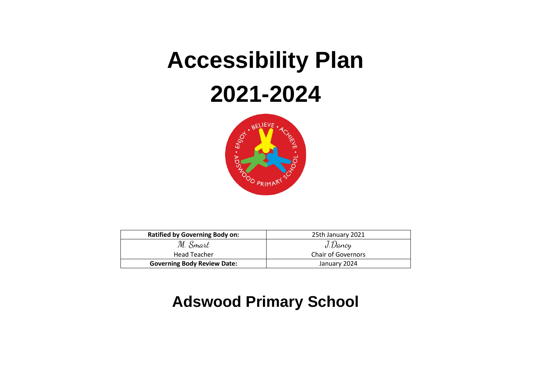# **Accessibility Plan 2021-2024**



| <b>Ratified by Governing Body on:</b> | 25th January 2021         |
|---------------------------------------|---------------------------|
| M. Smart                              | J.Dancy                   |
| <b>Head Teacher</b>                   | <b>Chair of Governors</b> |
| <b>Governing Body Review Date:</b>    | January 2024              |

## **Adswood Primary School**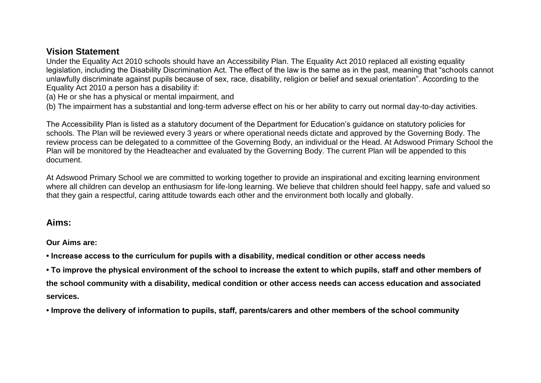### **Vision Statement**

Under the Equality Act 2010 schools should have an Accessibility Plan. The Equality Act 2010 replaced all existing equality legislation, including the Disability Discrimination Act. The effect of the law is the same as in the past, meaning that "schools cannot unlawfully discriminate against pupils because of sex, race, disability, religion or belief and sexual orientation". According to the Equality Act 2010 a person has a disability if:

(a) He or she has a physical or mental impairment, and

(b) The impairment has a substantial and long-term adverse effect on his or her ability to carry out normal day-to-day activities.

The Accessibility Plan is listed as a statutory document of the Department for Education's guidance on statutory policies for schools. The Plan will be reviewed every 3 years or where operational needs dictate and approved by the Governing Body. The review process can be delegated to a committee of the Governing Body, an individual or the Head. At Adswood Primary School the Plan will be monitored by the Headteacher and evaluated by the Governing Body. The current Plan will be appended to this document.

At Adswood Primary School we are committed to working together to provide an inspirational and exciting learning environment where all children can develop an enthusiasm for life-long learning. We believe that children should feel happy, safe and valued so that they gain a respectful, caring attitude towards each other and the environment both locally and globally.

#### **Aims:**

**Our Aims are:** 

**• Increase access to the curriculum for pupils with a disability, medical condition or other access needs** 

**• To improve the physical environment of the school to increase the extent to which pupils, staff and other members of the school community with a disability, medical condition or other access needs can access education and associated services.** 

**• Improve the delivery of information to pupils, staff, parents/carers and other members of the school community**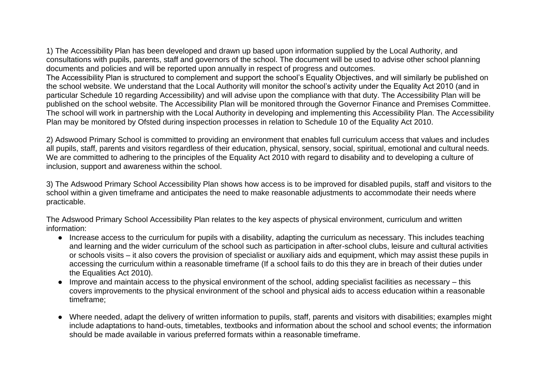1) The Accessibility Plan has been developed and drawn up based upon information supplied by the Local Authority, and consultations with pupils, parents, staff and governors of the school. The document will be used to advise other school planning documents and policies and will be reported upon annually in respect of progress and outcomes. The Accessibility Plan is structured to complement and support the school's Equality Objectives, and will similarly be published on the school website. We understand that the Local Authority will monitor the school's activity under the Equality Act 2010 (and in particular Schedule 10 regarding Accessibility) and will advise upon the compliance with that duty. The Accessibility Plan will be published on the school website. The Accessibility Plan will be monitored through the Governor Finance and Premises Committee. The school will work in partnership with the Local Authority in developing and implementing this Accessibility Plan. The Accessibility Plan may be monitored by Ofsted during inspection processes in relation to Schedule 10 of the Equality Act 2010.

2) Adswood Primary School is committed to providing an environment that enables full curriculum access that values and includes all pupils, staff, parents and visitors regardless of their education, physical, sensory, social, spiritual, emotional and cultural needs. We are committed to adhering to the principles of the Equality Act 2010 with regard to disability and to developing a culture of inclusion, support and awareness within the school.

3) The Adswood Primary School Accessibility Plan shows how access is to be improved for disabled pupils, staff and visitors to the school within a given timeframe and anticipates the need to make reasonable adjustments to accommodate their needs where practicable.

The Adswood Primary School Accessibility Plan relates to the key aspects of physical environment, curriculum and written information:

- Increase access to the curriculum for pupils with a disability, adapting the curriculum as necessary. This includes teaching and learning and the wider curriculum of the school such as participation in after-school clubs, leisure and cultural activities or schools visits – it also covers the provision of specialist or auxiliary aids and equipment, which may assist these pupils in accessing the curriculum within a reasonable timeframe (If a school fails to do this they are in breach of their duties under the Equalities Act 2010).
- Improve and maintain access to the physical environment of the school, adding specialist facilities as necessary this covers improvements to the physical environment of the school and physical aids to access education within a reasonable timeframe;
- Where needed, adapt the delivery of written information to pupils, staff, parents and visitors with disabilities; examples might include adaptations to hand-outs, timetables, textbooks and information about the school and school events; the information should be made available in various preferred formats within a reasonable timeframe.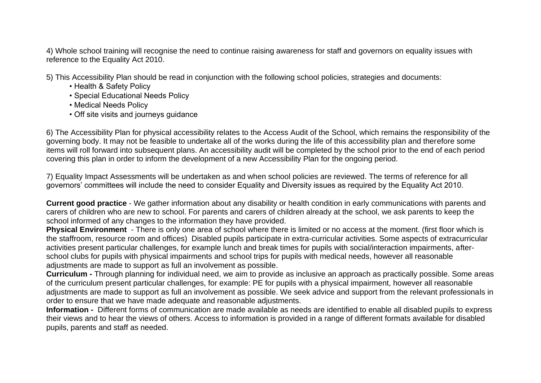4) Whole school training will recognise the need to continue raising awareness for staff and governors on equality issues with reference to the Equality Act 2010.

- 5) This Accessibility Plan should be read in conjunction with the following school policies, strategies and documents:
	- Health & Safety Policy
	- Special Educational Needs Policy
	- Medical Needs Policy
	- Off site visits and journeys guidance

6) The Accessibility Plan for physical accessibility relates to the Access Audit of the School, which remains the responsibility of the governing body. It may not be feasible to undertake all of the works during the life of this accessibility plan and therefore some items will roll forward into subsequent plans. An accessibility audit will be completed by the school prior to the end of each period covering this plan in order to inform the development of a new Accessibility Plan for the ongoing period.

7) Equality Impact Assessments will be undertaken as and when school policies are reviewed. The terms of reference for all governors' committees will include the need to consider Equality and Diversity issues as required by the Equality Act 2010.

**Current good practice** - We gather information about any disability or health condition in early communications with parents and carers of children who are new to school. For parents and carers of children already at the school, we ask parents to keep the school informed of any changes to the information they have provided.

**Physical Environment** - There is only one area of school where there is limited or no access at the moment. (first floor which is the staffroom, resource room and offices) Disabled pupils participate in extra-curricular activities. Some aspects of extracurricular activities present particular challenges, for example lunch and break times for pupils with social/interaction impairments, afterschool clubs for pupils with physical impairments and school trips for pupils with medical needs, however all reasonable adjustments are made to support as full an involvement as possible.

**Curriculum -** Through planning for individual need, we aim to provide as inclusive an approach as practically possible. Some areas of the curriculum present particular challenges, for example: PE for pupils with a physical impairment, however all reasonable adjustments are made to support as full an involvement as possible. We seek advice and support from the relevant professionals in order to ensure that we have made adequate and reasonable adjustments.

**Information -** Different forms of communication are made available as needs are identified to enable all disabled pupils to express their views and to hear the views of others. Access to information is provided in a range of different formats available for disabled pupils, parents and staff as needed.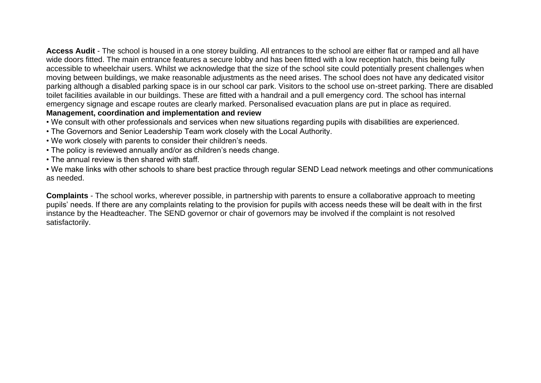**Access Audit** - The school is housed in a one storey building. All entrances to the school are either flat or ramped and all have wide doors fitted. The main entrance features a secure lobby and has been fitted with a low reception hatch, this being fully accessible to wheelchair users. Whilst we acknowledge that the size of the school site could potentially present challenges when moving between buildings, we make reasonable adjustments as the need arises. The school does not have any dedicated visitor parking although a disabled parking space is in our school car park. Visitors to the school use on-street parking. There are disabled toilet facilities available in our buildings. These are fitted with a handrail and a pull emergency cord. The school has internal emergency signage and escape routes are clearly marked. Personalised evacuation plans are put in place as required. **Management, coordination and implementation and review** 

• We consult with other professionals and services when new situations regarding pupils with disabilities are experienced.

- The Governors and Senior Leadership Team work closely with the Local Authority.
- We work closely with parents to consider their children's needs.
- The policy is reviewed annually and/or as children's needs change.
- The annual review is then shared with staff.

• We make links with other schools to share best practice through regular SEND Lead network meetings and other communications as needed.

**Complaints** - The school works, wherever possible, in partnership with parents to ensure a collaborative approach to meeting pupils' needs. If there are any complaints relating to the provision for pupils with access needs these will be dealt with in the first instance by the Headteacher. The SEND governor or chair of governors may be involved if the complaint is not resolved satisfactorily.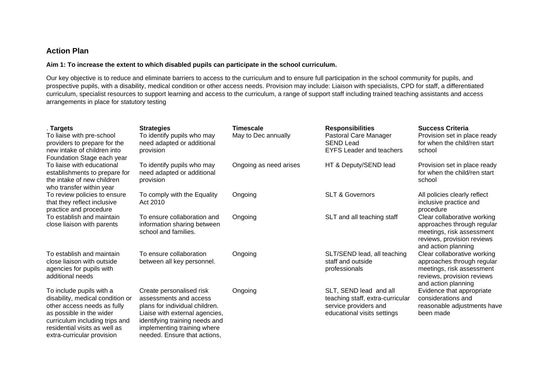#### **Action Plan**

#### **Aim 1: To increase the extent to which disabled pupils can participate in the school curriculum.**

Our key objective is to reduce and eliminate barriers to access to the curriculum and to ensure full participation in the school community for pupils, and prospective pupils, with a disability, medical condition or other access needs. Provision may include: Liaison with specialists, CPD for staff, a differentiated curriculum, specialist resources to support learning and access to the curriculum, a range of support staff including trained teaching assistants and access arrangements in place for statutory testing

| . Targets<br>To liaise with pre-school<br>providers to prepare for the<br>new intake of children into<br>Foundation Stage each year                                                                                      | <b>Strategies</b><br>To identify pupils who may<br>need adapted or additional<br>provision                                                                                                                              | Timescale<br>May to Dec annually | <b>Responsibilities</b><br>Pastoral Care Manager<br><b>SEND Lead</b><br><b>EYFS Leader and teachers</b>            | <b>Success Criteria</b><br>Provision set in place ready<br>for when the child/ren start<br>school                                           |
|--------------------------------------------------------------------------------------------------------------------------------------------------------------------------------------------------------------------------|-------------------------------------------------------------------------------------------------------------------------------------------------------------------------------------------------------------------------|----------------------------------|--------------------------------------------------------------------------------------------------------------------|---------------------------------------------------------------------------------------------------------------------------------------------|
| To liaise with educational<br>establishments to prepare for<br>the intake of new children<br>who transfer within year                                                                                                    | To identify pupils who may<br>need adapted or additional<br>provision                                                                                                                                                   | Ongoing as need arises           | HT & Deputy/SEND lead                                                                                              | Provision set in place ready<br>for when the child/ren start<br>school                                                                      |
| To review policies to ensure<br>that they reflect inclusive<br>practice and procedure                                                                                                                                    | To comply with the Equality<br>Act 2010                                                                                                                                                                                 | Ongoing                          | <b>SLT &amp; Governors</b>                                                                                         | All policies clearly reflect<br>inclusive practice and<br>procedure                                                                         |
| To establish and maintain<br>close liaison with parents                                                                                                                                                                  | To ensure collaboration and<br>information sharing between<br>school and families.                                                                                                                                      | Ongoing                          | SLT and all teaching staff                                                                                         | Clear collaborative working<br>approaches through regular<br>meetings, risk assessment<br>reviews, provision reviews<br>and action planning |
| To establish and maintain<br>close liaison with outside<br>agencies for pupils with<br>additional needs                                                                                                                  | To ensure collaboration<br>between all key personnel.                                                                                                                                                                   | Ongoing                          | SLT/SEND lead, all teaching<br>staff and outside<br>professionals                                                  | Clear collaborative working<br>approaches through regular<br>meetings, risk assessment<br>reviews, provision reviews<br>and action planning |
| To include pupils with a<br>disability, medical condition or<br>other access needs as fully<br>as possible in the wider<br>curriculum including trips and<br>residential visits as well as<br>extra-curricular provision | Create personalised risk<br>assessments and access<br>plans for individual children.<br>Liaise with external agencies,<br>identifying training needs and<br>implementing training where<br>needed. Ensure that actions. | Ongoing                          | SLT, SEND lead and all<br>teaching staff, extra-curricular<br>service providers and<br>educational visits settings | Evidence that appropriate<br>considerations and<br>reasonable adjustments have<br>been made                                                 |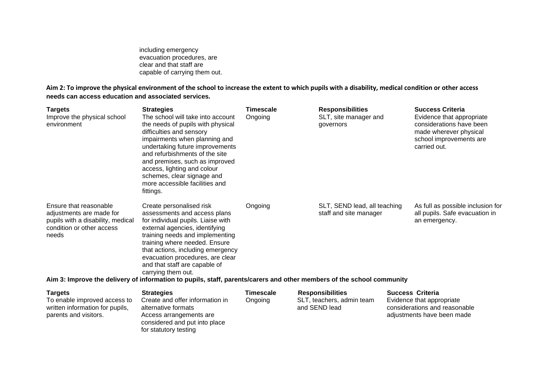including emergency evacuation procedures, are clear and that staff are capable of carrying them out.

**Aim 2: To improve the physical environment of the school to increase the extent to which pupils with a disability, medical condition or other access needs can access education and associated services.**

| <b>Targets</b><br>Improve the physical school<br>environment                                                                  | <b>Strategies</b><br>The school will take into account<br>the needs of pupils with physical<br>difficulties and sensory<br>impairments when planning and<br>undertaking future improvements<br>and refurbishments of the site<br>and premises, such as improved<br>access, lighting and colour<br>schemes, clear signage and<br>more accessible facilities and<br>fittings. | Timescale<br>Ongoing | <b>Responsibilities</b><br>SLT, site manager and<br>governors | <b>Success Criteria</b><br>Evidence that appropriate<br>considerations have been<br>made wherever physical<br>school improvements are<br>carried out. |
|-------------------------------------------------------------------------------------------------------------------------------|-----------------------------------------------------------------------------------------------------------------------------------------------------------------------------------------------------------------------------------------------------------------------------------------------------------------------------------------------------------------------------|----------------------|---------------------------------------------------------------|-------------------------------------------------------------------------------------------------------------------------------------------------------|
| Ensure that reasonable<br>adjustments are made for<br>pupils with a disability, medical<br>condition or other access<br>needs | Create personalised risk<br>assessments and access plans<br>for individual pupils. Liaise with<br>external agencies, identifying<br>training needs and implementing<br>training where needed. Ensure<br>that actions, including emergency<br>evacuation procedures, are clear<br>and that staff are capable of<br>carrying them out.                                        | Ongoing              | SLT, SEND lead, all teaching<br>staff and site manager        | As full as possible inclusion for<br>all pupils. Safe evacuation in<br>an emergency.                                                                  |
|                                                                                                                               | Aim 3: Improve the delivery of information to pupils, staff, parents/carers and other members of the school community                                                                                                                                                                                                                                                       |                      |                                                               |                                                                                                                                                       |

**Targets Strategies Timescale Responsibilities Success Criteria**  To enable improved access to written information for pupils, parents and visitors. Create and offer information in alternative formats Access arrangements are considered and put into place for statutory testing Ongoing SLT, teachers, admin team and SEND lead Evidence that appropriate considerations and reasonable adjustments have been made